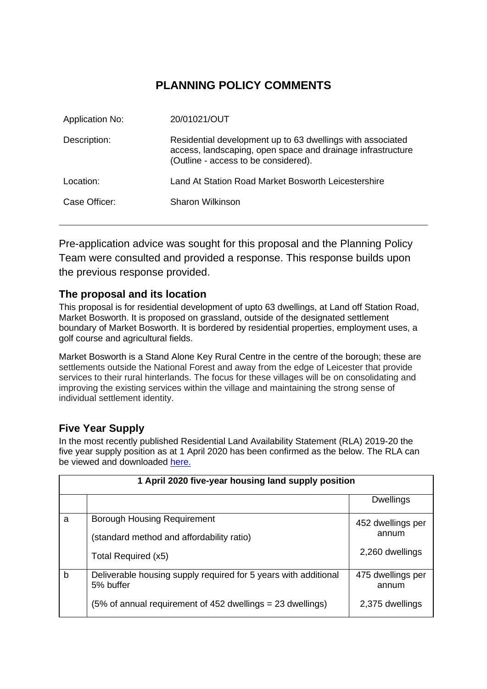# **PLANNING POLICY COMMENTS**

| <b>Application No:</b> | 20/01021/OUT                                                                                                                                                      |
|------------------------|-------------------------------------------------------------------------------------------------------------------------------------------------------------------|
| Description:           | Residential development up to 63 dwellings with associated<br>access, landscaping, open space and drainage infrastructure<br>(Outline - access to be considered). |
| Location:              | Land At Station Road Market Bosworth Leicestershire                                                                                                               |
| Case Officer:          | Sharon Wilkinson                                                                                                                                                  |

Pre-application advice was sought for this proposal and the Planning Policy Team were consulted and provided a response. This response builds upon the previous response provided.

### **The proposal and its location**

This proposal is for residential development of upto 63 dwellings, at Land off Station Road, Market Bosworth. It is proposed on grassland, outside of the designated settlement boundary of Market Bosworth. It is bordered by residential properties, employment uses, a golf course and agricultural fields.

Market Bosworth is a Stand Alone Key Rural Centre in the centre of the borough; these are settlements outside the National Forest and away from the edge of Leicester that provide services to their rural hinterlands. The focus for these villages will be on consolidating and improving the existing services within the village and maintaining the strong sense of individual settlement identity.

### **Five Year Supply**

In the most recently published Residential Land Availability Statement (RLA) 2019-20 the five year supply position as at 1 April 2020 has been confirmed as the below. The RLA can be viewed and downloaded [here.](https://www.hinckley-bosworth.gov.uk/info/856/local_plan_2006_to_2026/395/monitoring_and_land_availability/2)

|              | 1 April 2020 five-year housing land supply position                                    |                            |  |  |
|--------------|----------------------------------------------------------------------------------------|----------------------------|--|--|
|              |                                                                                        | <b>Dwellings</b>           |  |  |
| a            | <b>Borough Housing Requirement</b>                                                     | 452 dwellings per          |  |  |
|              | (standard method and affordability ratio)                                              | annum                      |  |  |
|              | Total Required (x5)                                                                    | 2,260 dwellings            |  |  |
| $\mathsf{b}$ | Deliverable housing supply required for 5 years with additional<br>5% buffer           | 475 dwellings per<br>annum |  |  |
|              | $(5\% \text{ of annual requirement of } 452 \text{ dwellings} = 23 \text{ dwellings})$ | 2,375 dwellings            |  |  |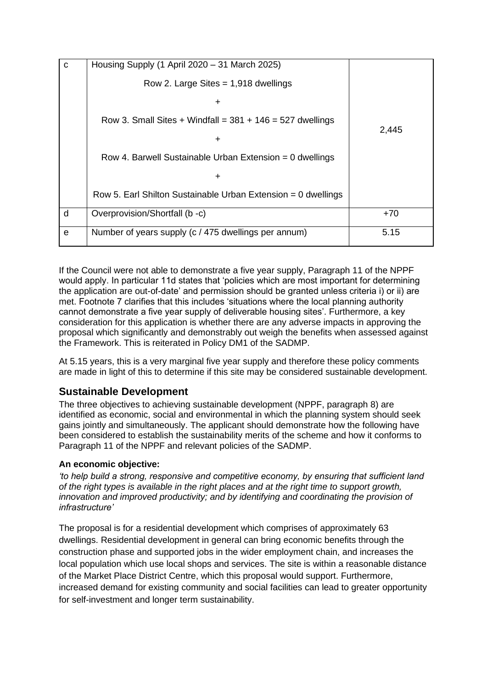| $\mathbf{C}$ | Housing Supply (1 April 2020 - 31 March 2025)                   |       |
|--------------|-----------------------------------------------------------------|-------|
|              | Row 2. Large Sites $= 1,918$ dwellings                          |       |
|              | ÷                                                               |       |
|              | Row 3. Small Sites + Windfall = $381 + 146 = 527$ dwellings     |       |
|              | $\div$                                                          | 2,445 |
|              | Row 4. Barwell Sustainable Urban Extension = 0 dwellings        |       |
|              | ÷                                                               |       |
|              | Row 5. Earl Shilton Sustainable Urban Extension = $0$ dwellings |       |
| d            | Overprovision/Shortfall (b -c)                                  | $+70$ |
| e            | Number of years supply (c / 475 dwellings per annum)            | 5.15  |

If the Council were not able to demonstrate a five year supply, Paragraph 11 of the NPPF would apply. In particular 11d states that 'policies which are most important for determining the application are out-of-date' and permission should be granted unless criteria i) or ii) are met. Footnote 7 clarifies that this includes 'situations where the local planning authority cannot demonstrate a five year supply of deliverable housing sites'. Furthermore, a key consideration for this application is whether there are any adverse impacts in approving the proposal which significantly and demonstrably out weigh the benefits when assessed against the Framework. This is reiterated in Policy DM1 of the SADMP.

At 5.15 years, this is a very marginal five year supply and therefore these policy comments are made in light of this to determine if this site may be considered sustainable development.

# **Sustainable Development**

The three objectives to achieving sustainable development (NPPF, paragraph 8) are identified as economic, social and environmental in which the planning system should seek gains jointly and simultaneously. The applicant should demonstrate how the following have been considered to establish the sustainability merits of the scheme and how it conforms to Paragraph 11 of the NPPF and relevant policies of the SADMP.

### **An economic objective:**

*'to help build a strong, responsive and competitive economy, by ensuring that sufficient land of the right types is available in the right places and at the right time to support growth, innovation and improved productivity; and by identifying and coordinating the provision of infrastructure'*

The proposal is for a residential development which comprises of approximately 63 dwellings. Residential development in general can bring economic benefits through the construction phase and supported jobs in the wider employment chain, and increases the local population which use local shops and services. The site is within a reasonable distance of the Market Place District Centre, which this proposal would support. Furthermore, increased demand for existing community and social facilities can lead to greater opportunity for self-investment and longer term sustainability.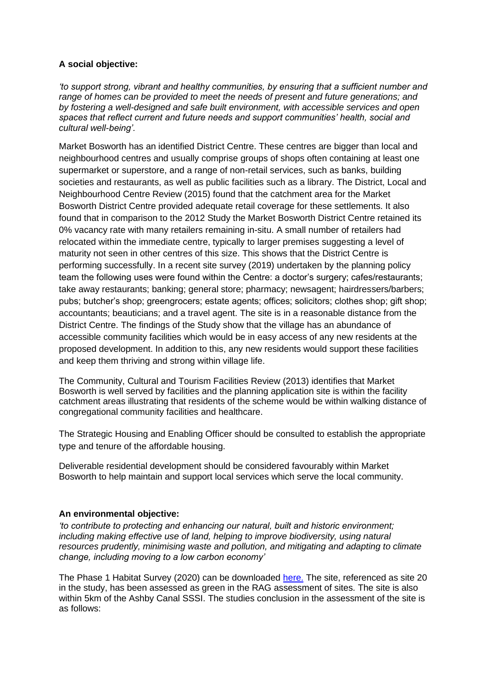### **A social objective:**

*'to support strong, vibrant and healthy communities, by ensuring that a sufficient number and range of homes can be provided to meet the needs of present and future generations; and by fostering a well-designed and safe built environment, with accessible services and open spaces that reflect current and future needs and support communities' health, social and cultural well-being'.*

Market Bosworth has an identified District Centre. These centres are bigger than local and neighbourhood centres and usually comprise groups of shops often containing at least one supermarket or superstore, and a range of non-retail services, such as banks, building societies and restaurants, as well as public facilities such as a library. The District, Local and Neighbourhood Centre Review (2015) found that the catchment area for the Market Bosworth District Centre provided adequate retail coverage for these settlements. It also found that in comparison to the 2012 Study the Market Bosworth District Centre retained its 0% vacancy rate with many retailers remaining in-situ. A small number of retailers had relocated within the immediate centre, typically to larger premises suggesting a level of maturity not seen in other centres of this size. This shows that the District Centre is performing successfully. In a recent site survey (2019) undertaken by the planning policy team the following uses were found within the Centre: a doctor's surgery; cafes/restaurants; take away restaurants; banking; general store; pharmacy; newsagent; hairdressers/barbers; pubs; butcher's shop; greengrocers; estate agents; offices; solicitors; clothes shop; gift shop; accountants; beauticians; and a travel agent. The site is in a reasonable distance from the District Centre. The findings of the Study show that the village has an abundance of accessible community facilities which would be in easy access of any new residents at the proposed development. In addition to this, any new residents would support these facilities and keep them thriving and strong within village life.

The Community, Cultural and Tourism Facilities Review (2013) identifies that Market Bosworth is well served by facilities and the planning application site is within the facility catchment areas illustrating that residents of the scheme would be within walking distance of congregational community facilities and healthcare.

The Strategic Housing and Enabling Officer should be consulted to establish the appropriate type and tenure of the affordable housing.

Deliverable residential development should be considered favourably within Market Bosworth to help maintain and support local services which serve the local community.

### **An environmental objective:**

*'to contribute to protecting and enhancing our natural, built and historic environment; including making effective use of land, helping to improve biodiversity, using natural resources prudently, minimising waste and pollution, and mitigating and adapting to climate change, including moving to a low carbon economy'* 

The Phase 1 Habitat Survey (2020) can be downloaded [here.](https://www.hinckley-bosworth.gov.uk/downloads/download/690/extended_phase_1_habitat_survey) The site, referenced as site 20 in the study, has been assessed as green in the RAG assessment of sites. The site is also within 5km of the Ashby Canal SSSI. The studies conclusion in the assessment of the site is as follows: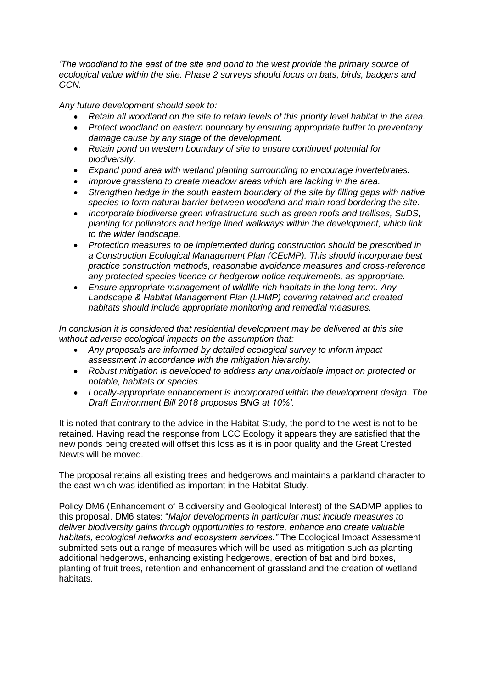*'The woodland to the east of the site and pond to the west provide the primary source of ecological value within the site. Phase 2 surveys should focus on bats, birds, badgers and GCN.*

*Any future development should seek to:*

- *Retain all woodland on the site to retain levels of this priority level habitat in the area.*
- *Protect woodland on eastern boundary by ensuring appropriate buffer to preventany damage cause by any stage of the development.*
- *Retain pond on western boundary of site to ensure continued potential for biodiversity.*
- *Expand pond area with wetland planting surrounding to encourage invertebrates.*
- *Improve grassland to create meadow areas which are lacking in the area.*
- *Strengthen hedge in the south eastern boundary of the site by filling gaps with native species to form natural barrier between woodland and main road bordering the site.*
- *Incorporate biodiverse green infrastructure such as green roofs and trellises, SuDS, planting for pollinators and hedge lined walkways within the development, which link to the wider landscape.*
- *Protection measures to be implemented during construction should be prescribed in a Construction Ecological Management Plan (CEcMP). This should incorporate best practice construction methods, reasonable avoidance measures and cross-reference any protected species licence or hedgerow notice requirements, as appropriate.*
- *Ensure appropriate management of wildlife-rich habitats in the long-term. Any Landscape & Habitat Management Plan (LHMP) covering retained and created habitats should include appropriate monitoring and remedial measures.*

*In conclusion it is considered that residential development may be delivered at this site without adverse ecological impacts on the assumption that:*

- *Any proposals are informed by detailed ecological survey to inform impact assessment in accordance with the mitigation hierarchy.*
- *Robust mitigation is developed to address any unavoidable impact on protected or notable, habitats or species.*
- *Locally-appropriate enhancement is incorporated within the development design. The Draft Environment Bill 2018 proposes BNG at 10%'.*

It is noted that contrary to the advice in the Habitat Study, the pond to the west is not to be retained. Having read the response from LCC Ecology it appears they are satisfied that the new ponds being created will offset this loss as it is in poor quality and the Great Crested Newts will be moved.

The proposal retains all existing trees and hedgerows and maintains a parkland character to the east which was identified as important in the Habitat Study.

Policy DM6 (Enhancement of Biodiversity and Geological Interest) of the SADMP applies to this proposal. DM6 states: "*Major developments in particular must include measures to deliver biodiversity gains through opportunities to restore, enhance and create valuable habitats, ecological networks and ecosystem services."* The Ecological Impact Assessment submitted sets out a range of measures which will be used as mitigation such as planting additional hedgerows, enhancing existing hedgerows, erection of bat and bird boxes, planting of fruit trees, retention and enhancement of grassland and the creation of wetland habitats.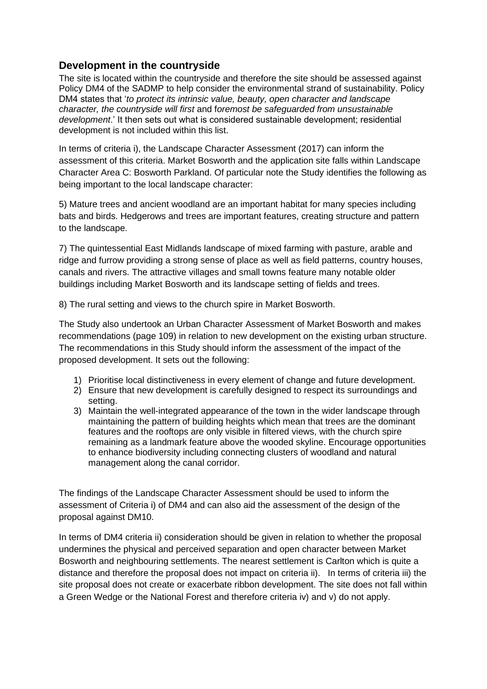## **Development in the countryside**

The site is located within the countryside and therefore the site should be assessed against Policy DM4 of the SADMP to help consider the environmental strand of sustainability. Policy DM4 states that '*to protect its intrinsic value, beauty, open character and landscape character, the countryside will first* and f*oremost be safeguarded from unsustainable development*.' It then sets out what is considered sustainable development; residential development is not included within this list.

In terms of criteria i), the Landscape Character Assessment (2017) can inform the assessment of this criteria. Market Bosworth and the application site falls within Landscape Character Area C: Bosworth Parkland. Of particular note the Study identifies the following as being important to the local landscape character:

5) Mature trees and ancient woodland are an important habitat for many species including bats and birds. Hedgerows and trees are important features, creating structure and pattern to the landscape.

7) The quintessential East Midlands landscape of mixed farming with pasture, arable and ridge and furrow providing a strong sense of place as well as field patterns, country houses, canals and rivers. The attractive villages and small towns feature many notable older buildings including Market Bosworth and its landscape setting of fields and trees.

8) The rural setting and views to the church spire in Market Bosworth.

The Study also undertook an Urban Character Assessment of Market Bosworth and makes recommendations (page 109) in relation to new development on the existing urban structure. The recommendations in this Study should inform the assessment of the impact of the proposed development. It sets out the following:

- 1) Prioritise local distinctiveness in every element of change and future development.
- 2) Ensure that new development is carefully designed to respect its surroundings and setting.
- 3) Maintain the well-integrated appearance of the town in the wider landscape through maintaining the pattern of building heights which mean that trees are the dominant features and the rooftops are only visible in filtered views, with the church spire remaining as a landmark feature above the wooded skyline. Encourage opportunities to enhance biodiversity including connecting clusters of woodland and natural management along the canal corridor.

The findings of the Landscape Character Assessment should be used to inform the assessment of Criteria i) of DM4 and can also aid the assessment of the design of the proposal against DM10.

In terms of DM4 criteria ii) consideration should be given in relation to whether the proposal undermines the physical and perceived separation and open character between Market Bosworth and neighbouring settlements. The nearest settlement is Carlton which is quite a distance and therefore the proposal does not impact on criteria ii). In terms of criteria iii) the site proposal does not create or exacerbate ribbon development. The site does not fall within a Green Wedge or the National Forest and therefore criteria iv) and v) do not apply.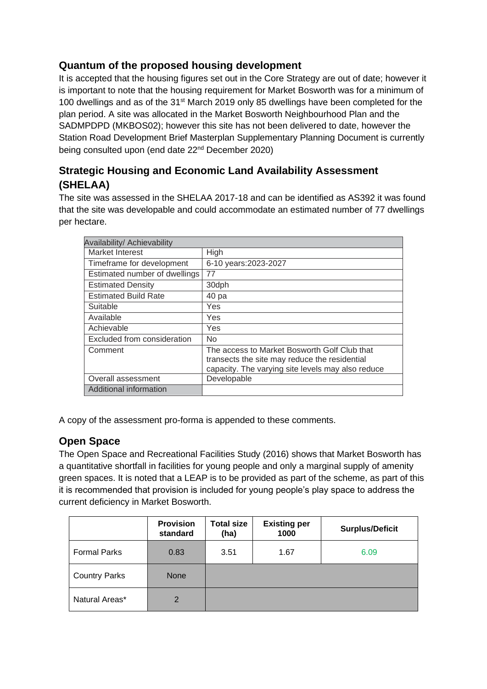# **Quantum of the proposed housing development**

It is accepted that the housing figures set out in the Core Strategy are out of date; however it is important to note that the housing requirement for Market Bosworth was for a minimum of 100 dwellings and as of the 31st March 2019 only 85 dwellings have been completed for the plan period. A site was allocated in the Market Bosworth Neighbourhood Plan and the SADMPDPD (MKBOS02); however this site has not been delivered to date, however the Station Road Development Brief Masterplan Supplementary Planning Document is currently being consulted upon (end date 22<sup>nd</sup> December 2020)

# **Strategic Housing and Economic Land Availability Assessment (SHELAA)**

The site was assessed in the SHELAA 2017-18 and can be identified as AS392 it was found that the site was developable and could accommodate an estimated number of 77 dwellings per hectare.

| Availability/ Achievability   |                                                                                                                                                    |
|-------------------------------|----------------------------------------------------------------------------------------------------------------------------------------------------|
| Market Interest               | High                                                                                                                                               |
| Timeframe for development     | 6-10 years: 2023-2027                                                                                                                              |
| Estimated number of dwellings | 77                                                                                                                                                 |
| <b>Estimated Density</b>      | 30dph                                                                                                                                              |
| <b>Estimated Build Rate</b>   | 40 pa                                                                                                                                              |
| Suitable                      | Yes                                                                                                                                                |
| Available                     | Yes                                                                                                                                                |
| Achievable                    | Yes                                                                                                                                                |
| Excluded from consideration   | No.                                                                                                                                                |
| Comment                       | The access to Market Bosworth Golf Club that<br>transects the site may reduce the residential<br>capacity. The varying site levels may also reduce |
| Overall assessment            | Developable                                                                                                                                        |
| Additional information        |                                                                                                                                                    |

A copy of the assessment pro-forma is appended to these comments.

# **Open Space**

The Open Space and Recreational Facilities Study (2016) shows that Market Bosworth has a quantitative shortfall in facilities for young people and only a marginal supply of amenity green spaces. It is noted that a LEAP is to be provided as part of the scheme, as part of this it is recommended that provision is included for young people's play space to address the current deficiency in Market Bosworth.

|                      | <b>Provision</b><br>standard | <b>Total size</b><br>(ha) | <b>Existing per</b><br>1000 | <b>Surplus/Deficit</b> |
|----------------------|------------------------------|---------------------------|-----------------------------|------------------------|
| <b>Formal Parks</b>  | 0.83                         | 3.51                      | 1.67                        | 6.09                   |
| <b>Country Parks</b> | <b>None</b>                  |                           |                             |                        |
| Natural Areas*       | 2                            |                           |                             |                        |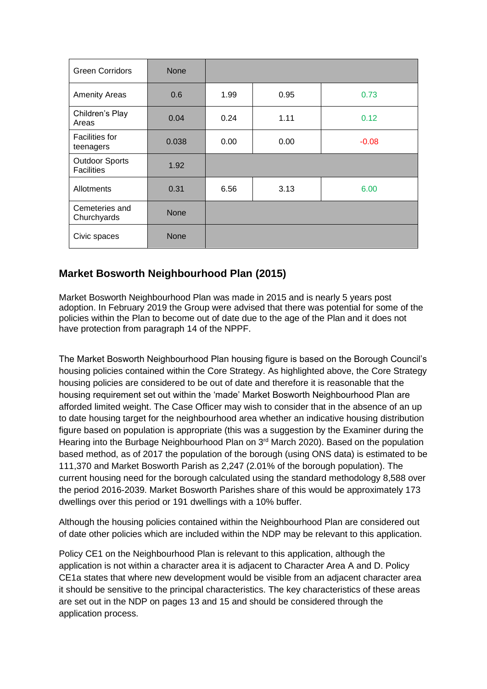| <b>Green Corridors</b>                     | <b>None</b> |      |      |         |
|--------------------------------------------|-------------|------|------|---------|
| <b>Amenity Areas</b>                       | 0.6         | 1.99 | 0.95 | 0.73    |
| Children's Play<br>Areas                   | 0.04        | 0.24 | 1.11 | 0.12    |
| <b>Facilities for</b><br>teenagers         | 0.038       | 0.00 | 0.00 | $-0.08$ |
| <b>Outdoor Sports</b><br><b>Facilities</b> | 1.92        |      |      |         |
| Allotments                                 | 0.31        | 6.56 | 3.13 | 6.00    |
| Cemeteries and<br>Churchyards              | <b>None</b> |      |      |         |
| Civic spaces                               | <b>None</b> |      |      |         |

# **Market Bosworth Neighbourhood Plan (2015)**

Market Bosworth Neighbourhood Plan was made in 2015 and is nearly 5 years post adoption. In February 2019 the Group were advised that there was potential for some of the policies within the Plan to become out of date due to the age of the Plan and it does not have protection from paragraph 14 of the NPPF.

The Market Bosworth Neighbourhood Plan housing figure is based on the Borough Council's housing policies contained within the Core Strategy. As highlighted above, the Core Strategy housing policies are considered to be out of date and therefore it is reasonable that the housing requirement set out within the 'made' Market Bosworth Neighbourhood Plan are afforded limited weight. The Case Officer may wish to consider that in the absence of an up to date housing target for the neighbourhood area whether an indicative housing distribution figure based on population is appropriate (this was a suggestion by the Examiner during the Hearing into the Burbage Neighbourhood Plan on 3<sup>rd</sup> March 2020). Based on the population based method, as of 2017 the population of the borough (using ONS data) is estimated to be 111,370 and Market Bosworth Parish as 2,247 (2.01% of the borough population). The current housing need for the borough calculated using the standard methodology 8,588 over the period 2016-2039. Market Bosworth Parishes share of this would be approximately 173 dwellings over this period or 191 dwellings with a 10% buffer.

Although the housing policies contained within the Neighbourhood Plan are considered out of date other policies which are included within the NDP may be relevant to this application.

Policy CE1 on the Neighbourhood Plan is relevant to this application, although the application is not within a character area it is adjacent to Character Area A and D. Policy CE1a states that where new development would be visible from an adjacent character area it should be sensitive to the principal characteristics. The key characteristics of these areas are set out in the NDP on pages 13 and 15 and should be considered through the application process.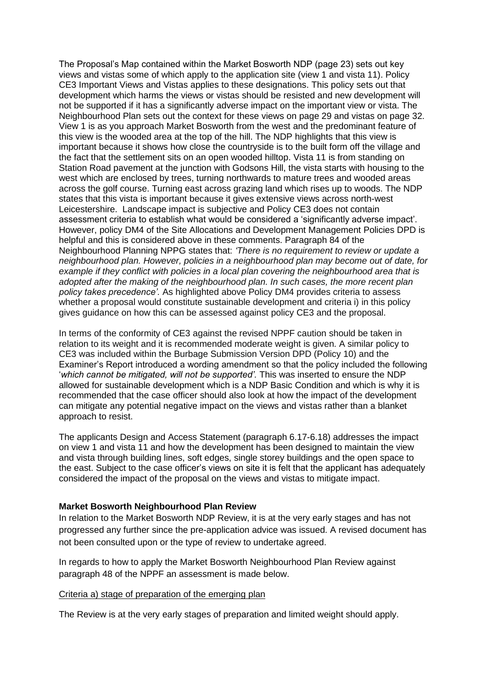The Proposal's Map contained within the Market Bosworth NDP (page 23) sets out key views and vistas some of which apply to the application site (view 1 and vista 11). Policy CE3 Important Views and Vistas applies to these designations. This policy sets out that development which harms the views or vistas should be resisted and new development will not be supported if it has a significantly adverse impact on the important view or vista. The Neighbourhood Plan sets out the context for these views on page 29 and vistas on page 32. View 1 is as you approach Market Bosworth from the west and the predominant feature of this view is the wooded area at the top of the hill. The NDP highlights that this view is important because it shows how close the countryside is to the built form off the village and the fact that the settlement sits on an open wooded hilltop. Vista 11 is from standing on Station Road pavement at the junction with Godsons Hill, the vista starts with housing to the west which are enclosed by trees, turning northwards to mature trees and wooded areas across the golf course. Turning east across grazing land which rises up to woods. The NDP states that this vista is important because it gives extensive views across north-west Leicestershire. Landscape impact is subjective and Policy CE3 does not contain assessment criteria to establish what would be considered a 'significantly adverse impact'. However, policy DM4 of the Site Allocations and Development Management Policies DPD is helpful and this is considered above in these comments. Paragraph 84 of the Neighbourhood Planning NPPG states that: *'There is no requirement to review or update a neighbourhood plan. However, policies in a neighbourhood plan may become out of date, for example if they conflict with policies in a local plan covering the neighbourhood area that is adopted after the making of the neighbourhood plan. In such cases, the more recent plan policy takes precedence'.* As highlighted above Policy DM4 provides criteria to assess whether a proposal would constitute sustainable development and criteria i) in this policy gives guidance on how this can be assessed against policy CE3 and the proposal.

In terms of the conformity of CE3 against the revised NPPF caution should be taken in relation to its weight and it is recommended moderate weight is given. A similar policy to CE3 was included within the Burbage Submission Version DPD (Policy 10) and the Examiner's Report introduced a wording amendment so that the policy included the following '*which cannot be mitigated, will not be supported'.* This was inserted to ensure the NDP allowed for sustainable development which is a NDP Basic Condition and which is why it is recommended that the case officer should also look at how the impact of the development can mitigate any potential negative impact on the views and vistas rather than a blanket approach to resist.

The applicants Design and Access Statement (paragraph 6.17-6.18) addresses the impact on view 1 and vista 11 and how the development has been designed to maintain the view and vista through building lines, soft edges, single storey buildings and the open space to the east. Subject to the case officer's views on site it is felt that the applicant has adequately considered the impact of the proposal on the views and vistas to mitigate impact.

### **Market Bosworth Neighbourhood Plan Review**

In relation to the Market Bosworth NDP Review, it is at the very early stages and has not progressed any further since the pre-application advice was issued. A revised document has not been consulted upon or the type of review to undertake agreed.

In regards to how to apply the Market Bosworth Neighbourhood Plan Review against paragraph 48 of the NPPF an assessment is made below.

#### Criteria a) stage of preparation of the emerging plan

The Review is at the very early stages of preparation and limited weight should apply.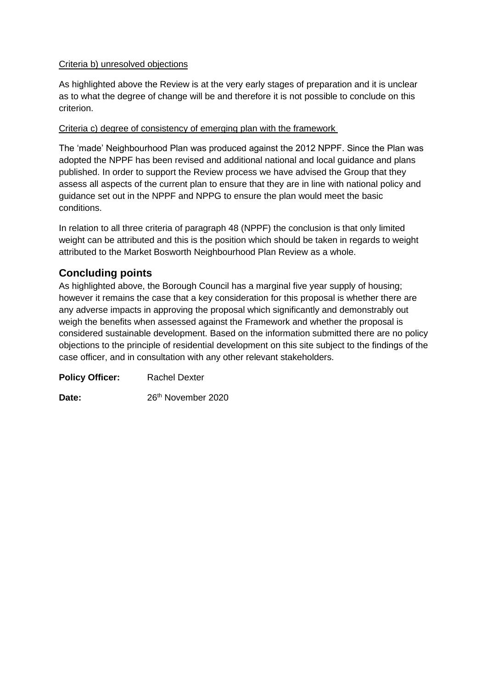### Criteria b) unresolved objections

As highlighted above the Review is at the very early stages of preparation and it is unclear as to what the degree of change will be and therefore it is not possible to conclude on this criterion.

### Criteria c) degree of consistency of emerging plan with the framework

The 'made' Neighbourhood Plan was produced against the 2012 NPPF. Since the Plan was adopted the NPPF has been revised and additional national and local guidance and plans published. In order to support the Review process we have advised the Group that they assess all aspects of the current plan to ensure that they are in line with national policy and guidance set out in the NPPF and NPPG to ensure the plan would meet the basic conditions.

In relation to all three criteria of paragraph 48 (NPPF) the conclusion is that only limited weight can be attributed and this is the position which should be taken in regards to weight attributed to the Market Bosworth Neighbourhood Plan Review as a whole.

## **Concluding points**

As highlighted above, the Borough Council has a marginal five year supply of housing; however it remains the case that a key consideration for this proposal is whether there are any adverse impacts in approving the proposal which significantly and demonstrably out weigh the benefits when assessed against the Framework and whether the proposal is considered sustainable development. Based on the information submitted there are no policy objections to the principle of residential development on this site subject to the findings of the case officer, and in consultation with any other relevant stakeholders.

**Policy Officer:** Rachel Dexter

Date: 26<sup>th</sup> November 2020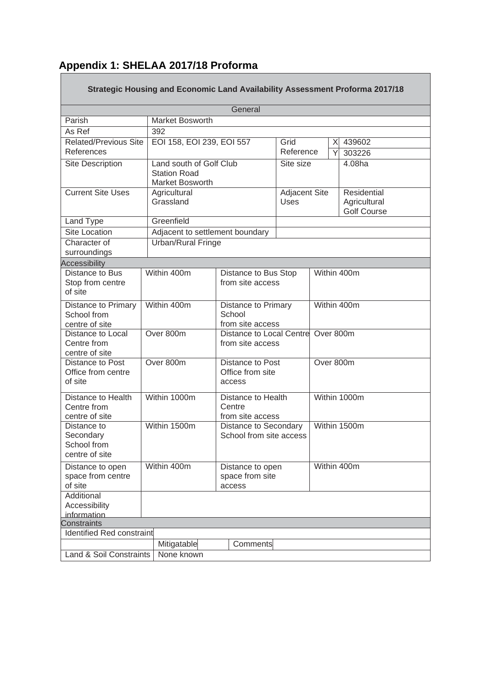## **Appendix 1: SHELAA 2017/18 Proforma** Г

|                                                           | Strategic Housing and Economic Land Availability Assessment Proforma 2017/18 |                                                   |                                          |                                                                    |              |                  |  |
|-----------------------------------------------------------|------------------------------------------------------------------------------|---------------------------------------------------|------------------------------------------|--------------------------------------------------------------------|--------------|------------------|--|
|                                                           |                                                                              | General                                           |                                          |                                                                    |              |                  |  |
| Parish                                                    | Market Bosworth                                                              |                                                   |                                          |                                                                    |              |                  |  |
| As Ref                                                    | 392                                                                          |                                                   |                                          |                                                                    |              |                  |  |
| <b>Related/Previous Site</b><br>References                |                                                                              | EOI 158, EOI 239, EOI 557<br>Grid                 |                                          |                                                                    | X<br>Y       | 439602<br>303226 |  |
| Site Description                                          | Land south of Golf Club                                                      |                                                   | Reference<br>Site size                   |                                                                    |              | 4.08ha           |  |
|                                                           | <b>Station Road</b><br><b>Market Bosworth</b>                                |                                                   |                                          |                                                                    |              |                  |  |
| <b>Current Site Uses</b>                                  | Agricultural<br>Grassland                                                    |                                                   | Uses                                     | Adjacent Site<br>Residential<br>Agricultural<br><b>Golf Course</b> |              |                  |  |
| Land Type                                                 | Greenfield                                                                   |                                                   |                                          |                                                                    |              |                  |  |
| <b>Site Location</b>                                      | Adjacent to settlement boundary                                              |                                                   |                                          |                                                                    |              |                  |  |
| Character of<br>surroundings                              | Urban/Rural Fringe                                                           |                                                   |                                          |                                                                    |              |                  |  |
| <b>Accessibility</b>                                      |                                                                              |                                                   |                                          |                                                                    |              |                  |  |
| Distance to Bus<br>Stop from centre<br>of site            | Within 400m                                                                  |                                                   | Distance to Bus Stop<br>from site access |                                                                    |              | Within 400m      |  |
| Distance to Primary<br>School from<br>centre of site      | Within 400m                                                                  | Distance to Primary<br>School<br>from site access |                                          | Within 400m                                                        |              |                  |  |
| Distance to Local<br>Centre from<br>centre of site        | Over 800m                                                                    | Distance to Local Centre<br>from site access      |                                          | Over 800m                                                          |              |                  |  |
| Distance to Post<br>Office from centre<br>of site         | Over 800m                                                                    | Distance to Post<br>Office from site<br>access    |                                          | Over 800m                                                          |              |                  |  |
| Distance to Health<br>Centre from<br>centre of site       | Within 1000m                                                                 | Centre                                            | Distance to Health<br>from site access   |                                                                    | Within 1000m |                  |  |
| Distance to<br>Secondary<br>School from<br>centre of site | Within 1500m                                                                 | Distance to Secondary<br>School from site access  |                                          | Within 1500m                                                       |              |                  |  |
| Distance to open<br>space from centre<br>of site          | Within 400m<br>Distance to open<br>space from site<br>access                 |                                                   |                                          | Within 400m                                                        |              |                  |  |
| Additional<br>Accessibility<br>information                |                                                                              |                                                   |                                          |                                                                    |              |                  |  |
| Constraints                                               |                                                                              |                                                   |                                          |                                                                    |              |                  |  |
| <b>Identified Red constraint</b>                          |                                                                              |                                                   |                                          |                                                                    |              |                  |  |
|                                                           | Mitigatable                                                                  | Comments                                          |                                          |                                                                    |              |                  |  |
| Land & Soil Constraints                                   | None known                                                                   |                                                   |                                          |                                                                    |              |                  |  |